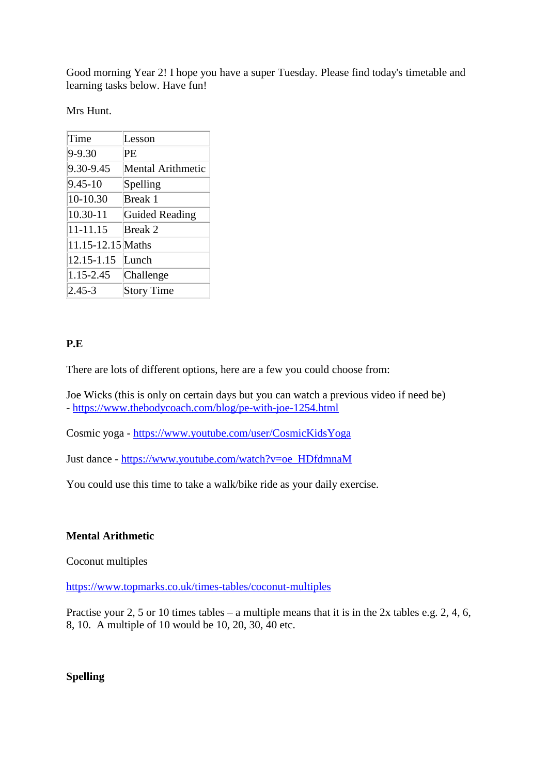Good morning Year 2! I hope you have a super Tuesday. Please find today's timetable and learning tasks below. Have fun!

Mrs Hunt.

| Time              | Lesson                   |
|-------------------|--------------------------|
| 9-9.30            | РE                       |
| 9.30-9.45         | <b>Mental Arithmetic</b> |
| $9.45 - 10$       | Spelling                 |
| 10-10.30          | Break 1                  |
| $10.30 - 11$      | <b>Guided Reading</b>    |
| 11-11.15          | <b>Break 2</b>           |
| 11.15-12.15 Maths |                          |
| 12.15-1.15        | Lunch                    |
| 1.15-2.45         | Challenge                |
| $2,45-3$          | <b>Story Time</b>        |

## **P.E**

There are lots of different options, here are a few you could choose from:

Joe Wicks (this is only on certain days but you can watch a previous video if need be) - <https://www.thebodycoach.com/blog/pe-with-joe-1254.html>

Cosmic yoga - <https://www.youtube.com/user/CosmicKidsYoga>

Just dance - [https://www.youtube.com/watch?v=oe\\_HDfdmnaM](https://www.youtube.com/watch?v=oe_HDfdmnaM) 

You could use this time to take a walk/bike ride as your daily exercise.

### **Mental Arithmetic**

Coconut multiples

<https://www.topmarks.co.uk/times-tables/coconut-multiples>

Practise your 2, 5 or 10 times tables – a multiple means that it is in the 2x tables e.g. 2, 4, 6, 8, 10. A multiple of 10 would be 10, 20, 30, 40 etc.

**Spelling**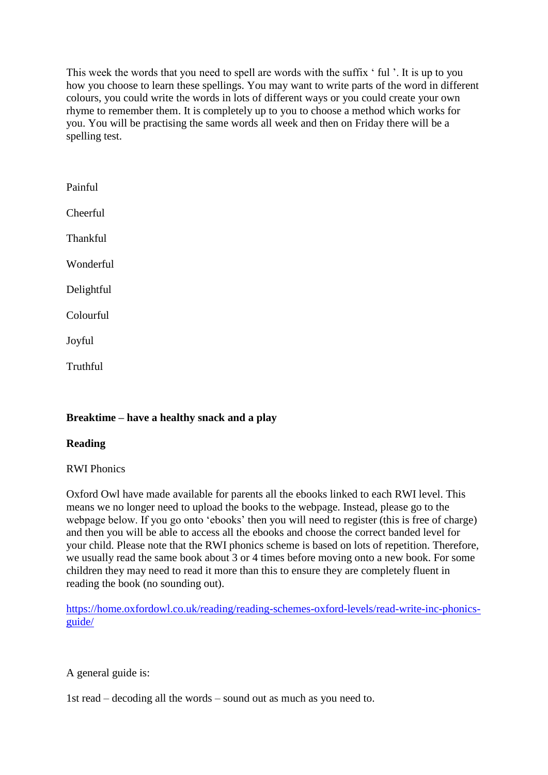This week the words that you need to spell are words with the suffix ' ful '. It is up to you how you choose to learn these spellings. You may want to write parts of the word in different colours, you could write the words in lots of different ways or you could create your own rhyme to remember them. It is completely up to you to choose a method which works for you. You will be practising the same words all week and then on Friday there will be a spelling test.

| Painful         |
|-----------------|
| Cheerful        |
| <b>Thankful</b> |
| Wonderful       |
| Delightful      |
| Colourful       |
| Joyful          |
| Truthful        |

# **Breaktime – have a healthy snack and a play**

### **Reading**

RWI Phonics

Oxford Owl have made available for parents all the ebooks linked to each RWI level. This means we no longer need to upload the books to the webpage. Instead, please go to the webpage below. If you go onto 'ebooks' then you will need to register (this is free of charge) and then you will be able to access all the ebooks and choose the correct banded level for your child. Please note that the RWI phonics scheme is based on lots of repetition. Therefore, we usually read the same book about 3 or 4 times before moving onto a new book. For some children they may need to read it more than this to ensure they are completely fluent in reading the book (no sounding out).

[https://home.oxfordowl.co.uk/reading/reading-schemes-oxford-levels/read-write-inc-phonics](https://home.oxfordowl.co.uk/reading/reading-schemes-oxford-levels/read-write-inc-phonics-guide/#_blank)[guide/](https://home.oxfordowl.co.uk/reading/reading-schemes-oxford-levels/read-write-inc-phonics-guide/#_blank)

A general guide is:

1st read – decoding all the words – sound out as much as you need to.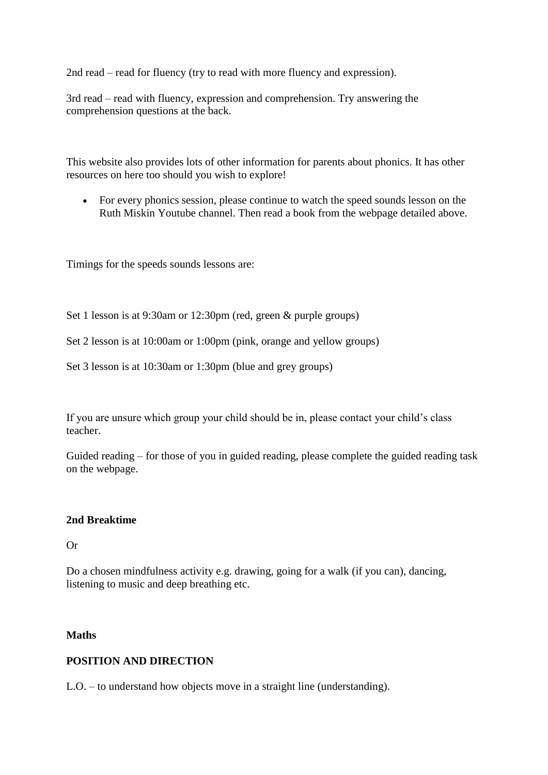2nd read – read for fluency (try to read with more fluency and expression).

3rd read – read with fluency, expression and comprehension. Try answering the comprehension questions at the back.

This website also provides lots of other information for parents about phonics. It has other resources on here too should you wish to explore!

 For every phonics session, please continue to watch the speed sounds lesson on the Ruth Miskin Youtube channel. Then read a book from the webpage detailed above.

Timings for the speeds sounds lessons are:

Set 1 lesson is at 9:30am or 12:30pm (red, green & purple groups)

Set 2 lesson is at 10:00am or 1:00pm (pink, orange and yellow groups)

Set 3 lesson is at 10:30am or 1:30pm (blue and grey groups)

If you are unsure which group your child should be in, please contact your child's class teacher.

Guided reading – for those of you in guided reading, please complete the guided reading task on the webpage.

#### **2nd Breaktime**

Or

Do a chosen mindfulness activity e.g. drawing, going for a walk (if you can), dancing, listening to music and deep breathing etc.

#### **Maths**

#### **POSITION AND DIRECTION**

L.O. – to understand how objects move in a straight line (understanding).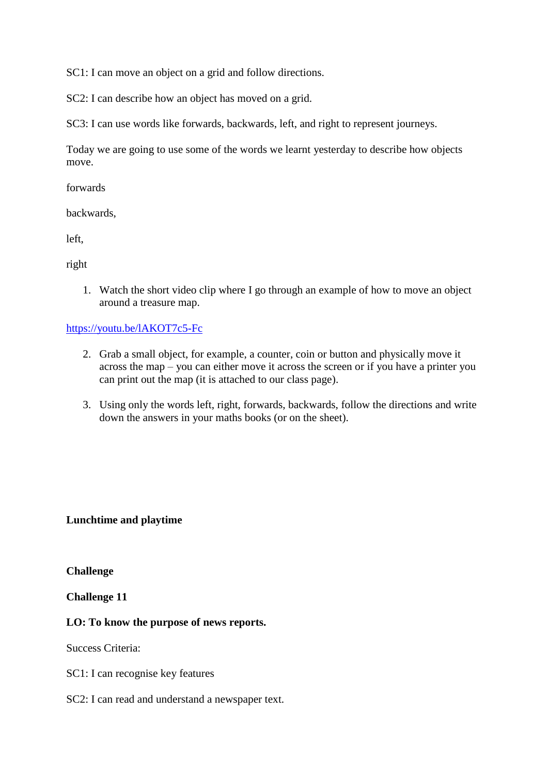SC1: I can move an object on a grid and follow directions.

SC2: I can describe how an object has moved on a grid.

SC3: I can use words like forwards, backwards, left, and right to represent journeys.

Today we are going to use some of the words we learnt yesterday to describe how objects move.

forwards

backwards,

left,

right

1. Watch the short video clip where I go through an example of how to move an object around a treasure map.

### <https://youtu.be/lAKOT7c5-Fc>

- 2. Grab a small object, for example, a counter, coin or button and physically move it across the map – you can either move it across the screen or if you have a printer you can print out the map (it is attached to our class page).
- 3. Using only the words left, right, forwards, backwards, follow the directions and write down the answers in your maths books (or on the sheet).

### **Lunchtime and playtime**

**Challenge**

**Challenge 11**

### **LO: To know the purpose of news reports.**

Success Criteria:

SC1: I can recognise key features

SC2: I can read and understand a newspaper text.